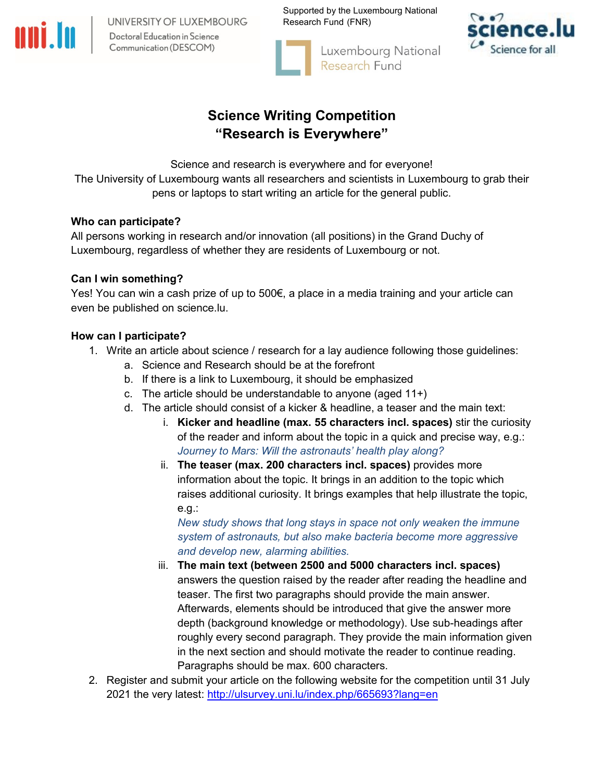UNIVERSITY OF LUXEMBOURG Doctoral Education in Science Communication (DESCOM)

Supported by the Luxembourg National Research Fund (FNR)



Luxembourg National Research Fund



# **Science Writing Competition "Research is Everywhere"**

Science and research is everywhere and for everyone!

The University of Luxembourg wants all researchers and scientists in Luxembourg to grab their pens or laptops to start writing an article for the general public.

# **Who can participate?**

All persons working in research and/or innovation (all positions) in the Grand Duchy of Luxembourg, regardless of whether they are residents of Luxembourg or not.

# **Can I win something?**

Yes! You can win a cash prize of up to 500€, a place in a media training and your article can even be published on science.lu.

# **How can I participate?**

- 1. Write an article about science / research for a lay audience following those guidelines:
	- a. Science and Research should be at the forefront
	- b. If there is a link to Luxembourg, it should be emphasized
	- c. The article should be understandable to anyone (aged 11+)
	- d. The article should consist of a kicker & headline, a teaser and the main text:
		- i. **Kicker and headline (max. 55 characters incl. spaces)** stir the curiosity of the reader and inform about the topic in a quick and precise way, e.g.: *Journey to Mars: Will the astronauts' health play along?*
		- ii. **The teaser (max. 200 characters incl. spaces)** provides more information about the topic. It brings in an addition to the topic which raises additional curiosity. It brings examples that help illustrate the topic, e.g.:

*New study shows that long stays in space not only weaken the immune system of astronauts, but also make bacteria become more aggressive and develop new, alarming abilities.*

- iii. **The main text (between 2500 and 5000 characters incl. spaces)**  answers the question raised by the reader after reading the headline and teaser. The first two paragraphs should provide the main answer. Afterwards, elements should be introduced that give the answer more depth (background knowledge or methodology). Use sub-headings after roughly every second paragraph. They provide the main information given in the next section and should motivate the reader to continue reading. Paragraphs should be max. 600 characters.
- 2. Register and submit your article on the following website for the competition until 31 July 2021 the very latest: <http://ulsurvey.uni.lu/index.php/665693?lang=en>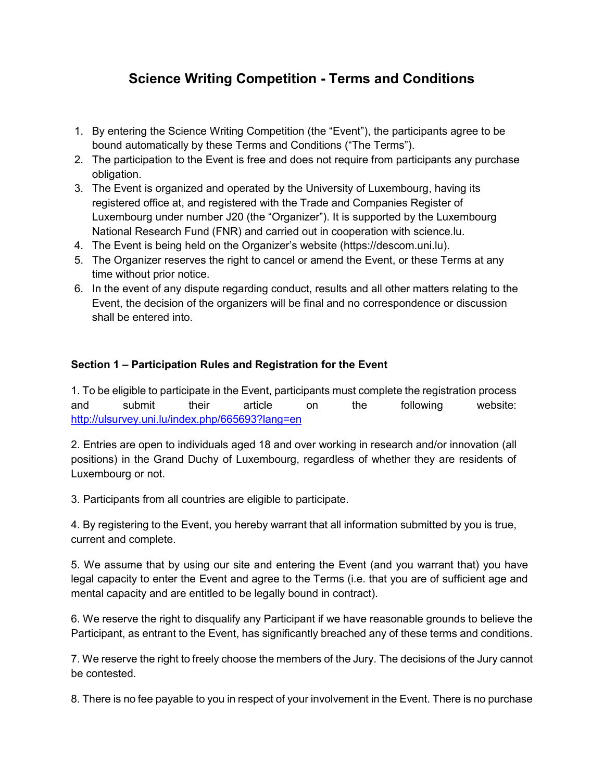# **Science Writing Competition - Terms and Conditions**

- 1. By entering the Science Writing Competition (the "Event"), the participants agree to be bound automatically by these Terms and Conditions ("The Terms").
- 2. The participation to the Event is free and does not require from participants any purchase obligation.
- 3. The Event is organized and operated by the University of Luxembourg, having its registered office at, and registered with the Trade and Companies Register of Luxembourg under number J20 (the "Organizer"). It is supported by the Luxembourg National Research Fund (FNR) and carried out in cooperation with science.lu.
- 4. The Event is being held on the Organizer's website (https://descom.uni.lu).
- 5. The Organizer reserves the right to cancel or amend the Event, or these Terms at any time without prior notice.
- 6. In the event of any dispute regarding conduct, results and all other matters relating to the Event, the decision of the organizers will be final and no correspondence or discussion shall be entered into.

# **Section 1 – Participation Rules and Registration for the Event**

1. To be eligible to participate in the Event, participants must complete the registration process and submit their article on the following website: <http://ulsurvey.uni.lu/index.php/665693?lang=en>

2. Entries are open to individuals aged 18 and over working in research and/or innovation (all positions) in the Grand Duchy of Luxembourg, regardless of whether they are residents of Luxembourg or not.

3. Participants from all countries are eligible to participate.

4. By registering to the Event, you hereby warrant that all information submitted by you is true, current and complete.

5. We assume that by using our site and entering the Event (and you warrant that) you have legal capacity to enter the Event and agree to the Terms (i.e. that you are of sufficient age and mental capacity and are entitled to be legally bound in contract).

6. We reserve the right to disqualify any Participant if we have reasonable grounds to believe the Participant, as entrant to the Event, has significantly breached any of these terms and conditions.

7. We reserve the right to freely choose the members of the Jury. The decisions of the Jury cannot be contested.

8. There is no fee payable to you in respect of your involvement in the Event. There is no purchase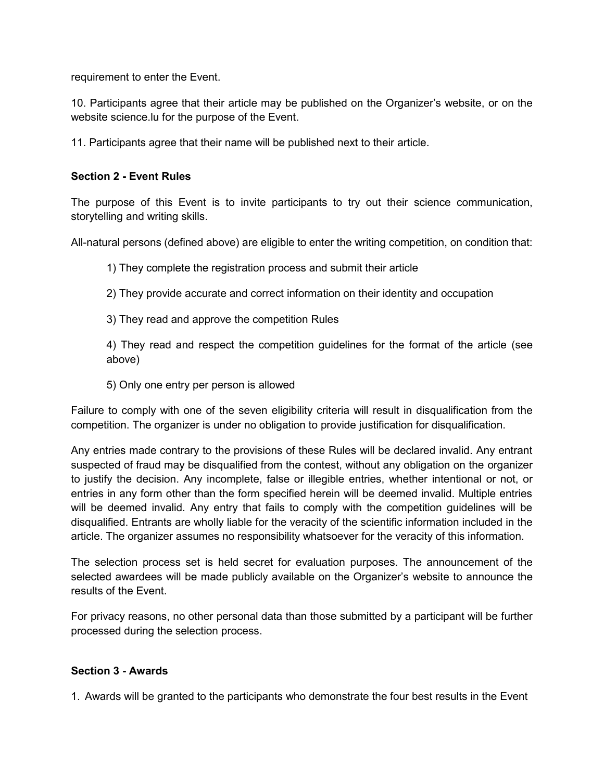requirement to enter the Event.

10. Participants agree that their article may be published on the Organizer's website, or on the website science.lu for the purpose of the Event.

11. Participants agree that their name will be published next to their article.

### **Section 2 - Event Rules**

The purpose of this Event is to invite participants to try out their science communication, storytelling and writing skills.

All-natural persons (defined above) are eligible to enter the writing competition, on condition that:

1) They complete the registration process and submit their article

2) They provide accurate and correct information on their identity and occupation

3) They read and approve the competition Rules

4) They read and respect the competition guidelines for the format of the article (see above)

5) Only one entry per person is allowed

Failure to comply with one of the seven eligibility criteria will result in disqualification from the competition. The organizer is under no obligation to provide justification for disqualification.

Any entries made contrary to the provisions of these Rules will be declared invalid. Any entrant suspected of fraud may be disqualified from the contest, without any obligation on the organizer to justify the decision. Any incomplete, false or illegible entries, whether intentional or not, or entries in any form other than the form specified herein will be deemed invalid. Multiple entries will be deemed invalid. Any entry that fails to comply with the competition guidelines will be disqualified. Entrants are wholly liable for the veracity of the scientific information included in the article. The organizer assumes no responsibility whatsoever for the veracity of this information.

The selection process set is held secret for evaluation purposes. The announcement of the selected awardees will be made publicly available on the Organizer's website to announce the results of the Event.

For privacy reasons, no other personal data than those submitted by a participant will be further processed during the selection process.

#### **Section 3 - Awards**

1. Awards will be granted to the participants who demonstrate the four best results in the Event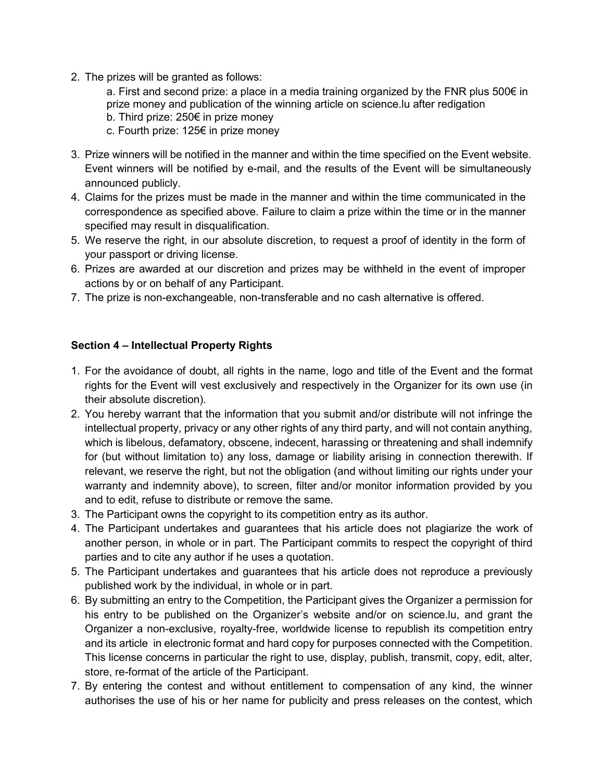2. The prizes will be granted as follows:

a. First and second prize: a place in a media training organized by the FNR plus 500 $\epsilon$  in prize money and publication of the winning article on science.lu after redigation

- b. Third prize: 250€ in prize money
- c. Fourth prize: 125€ in prize money
- 3. Prize winners will be notified in the manner and within the time specified on the Event website. Event winners will be notified by e-mail, and the results of the Event will be simultaneously announced publicly.
- 4. Claims for the prizes must be made in the manner and within the time communicated in the correspondence as specified above. Failure to claim a prize within the time or in the manner specified may result in disqualification.
- 5. We reserve the right, in our absolute discretion, to request a proof of identity in the form of your passport or driving license.
- 6. Prizes are awarded at our discretion and prizes may be withheld in the event of improper actions by or on behalf of any Participant.
- 7. The prize is non-exchangeable, non-transferable and no cash alternative is offered.

## **Section 4 – Intellectual Property Rights**

- 1. For the avoidance of doubt, all rights in the name, logo and title of the Event and the format rights for the Event will vest exclusively and respectively in the Organizer for its own use (in their absolute discretion).
- 2. You hereby warrant that the information that you submit and/or distribute will not infringe the intellectual property, privacy or any other rights of any third party, and will not contain anything, which is libelous, defamatory, obscene, indecent, harassing or threatening and shall indemnify for (but without limitation to) any loss, damage or liability arising in connection therewith. If relevant, we reserve the right, but not the obligation (and without limiting our rights under your warranty and indemnity above), to screen, filter and/or monitor information provided by you and to edit, refuse to distribute or remove the same.
- 3. The Participant owns the copyright to its competition entry as its author.
- 4. The Participant undertakes and guarantees that his article does not plagiarize the work of another person, in whole or in part. The Participant commits to respect the copyright of third parties and to cite any author if he uses a quotation.
- 5. The Participant undertakes and guarantees that his article does not reproduce a previously published work by the individual, in whole or in part.
- 6. By submitting an entry to the Competition, the Participant gives the Organizer a permission for his entry to be published on the Organizer's website and/or on science.lu, and grant the Organizer a non-exclusive, royalty-free, worldwide license to republish its competition entry and its article in electronic format and hard copy for purposes connected with the Competition. This license concerns in particular the right to use, display, publish, transmit, copy, edit, alter, store, re-format of the article of the Participant.
- 7. By entering the contest and without entitlement to compensation of any kind, the winner authorises the use of his or her name for publicity and press releases on the contest, which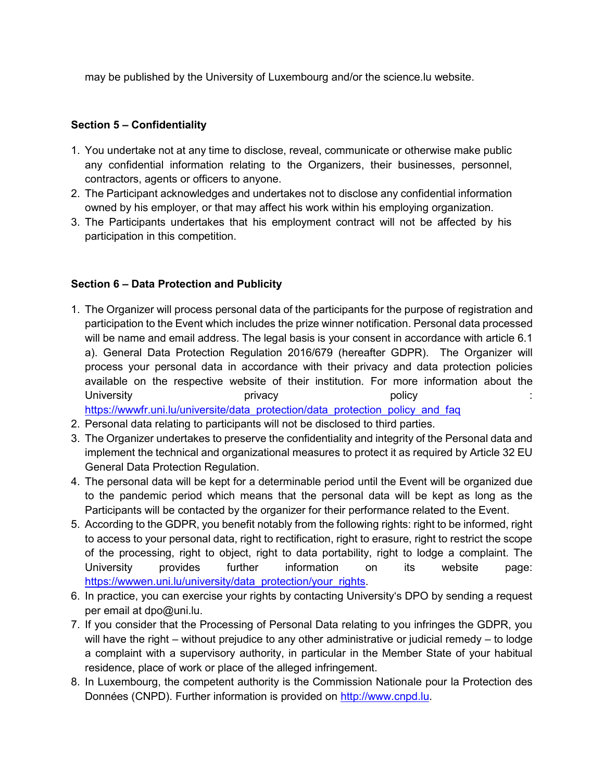may be published by the University of Luxembourg and/or the science.lu website.

## **Section 5 – Confidentiality**

- 1. You undertake not at any time to disclose, reveal, communicate or otherwise make public any confidential information relating to the Organizers, their businesses, personnel, contractors, agents or officers to anyone.
- 2. The Participant acknowledges and undertakes not to disclose any confidential information owned by his employer, or that may affect his work within his employing organization.
- 3. The Participants undertakes that his employment contract will not be affected by his participation in this competition.

## **Section 6 – Data Protection and Publicity**

- 1. The Organizer will process personal data of the participants for the purpose of registration and participation to the Event which includes the prize winner notification. Personal data processed will be name and email address. The legal basis is your consent in accordance with article 6.1 a). General Data Protection Regulation 2016/679 (hereafter GDPR). The Organizer will process your personal data in accordance with their privacy and data protection policies available on the respective website of their institution. For more information about the University **privacy** privacy **privacy privacy privacy privacy privacy privacy** [https://wwwfr.uni.lu/universite/data\\_protection/data\\_protection\\_policy\\_and\\_faq](https://wwwfr.uni.lu/universite/data_protection/data_protection_policy_and_faq)
- 2. Personal data relating to participants will not be disclosed to third parties.
- 3. The Organizer undertakes to preserve the confidentiality and integrity of the Personal data and implement the technical and organizational measures to protect it as required by Article 32 EU General Data Protection Regulation.
- 4. The personal data will be kept for a determinable period until the Event will be organized due to the pandemic period which means that the personal data will be kept as long as the Participants will be contacted by the organizer for their performance related to the Event.
- 5. According to the GDPR, you benefit notably from the following rights: right to be informed, right to access to your personal data, right to rectification, right to erasure, right to restrict the scope of the processing, right to object, right to data portability, right to lodge a complaint. The University provides further information on its website page: [https://wwwen.uni.lu/university/data\\_protection/your\\_rights.](https://wwwen.uni.lu/university/data_protection/your_rights)
- 6. In practice, you can exercise your rights by contacting University's DPO by sending a request per email at dpo@uni.lu.
- 7. If you consider that the Processing of Personal Data relating to you infringes the GDPR, you will have the right – without prejudice to any other administrative or judicial remedy – to lodge a complaint with a supervisory authority, in particular in the Member State of your habitual residence, place of work or place of the alleged infringement.
- 8. In Luxembourg, the competent authority is the Commission Nationale pour la Protection des Données (CNPD). Further information is provided on [http://www.cnpd.lu.](http://www.cnpd.lu/)